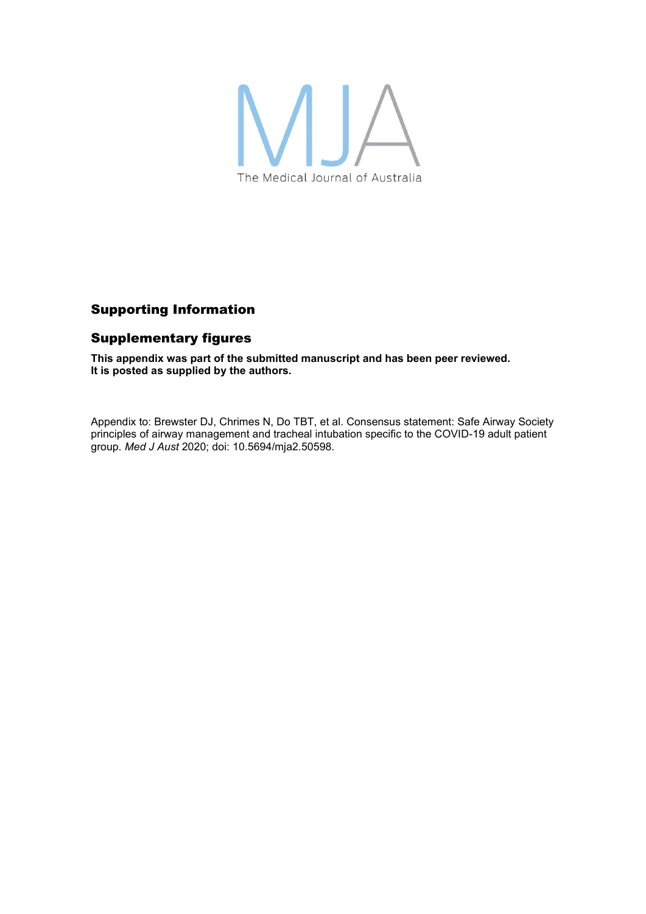

## Supporting Information

## Supplementary figures

**This appendix was part of the submitted manuscript and has been peer reviewed. It is posted as supplied by the authors.**

Appendix to: Brewster DJ, Chrimes N, Do TBT, et al. Consensus statement: Safe Airway Society principles of airway management and tracheal intubation specific to the COVID-19 adult patient group. *Med J Aust* 2020; doi: 10.5694/mja2.50598.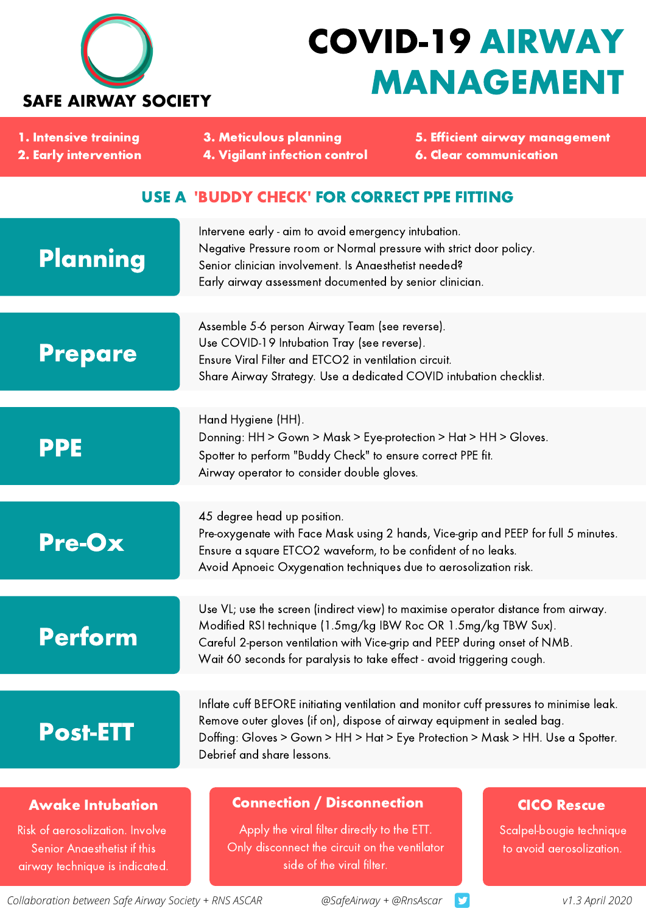

## COVID-19 AIRWAY MANAGEMENT

| 1. Intensive training<br>2. Early intervention                                                                              | <b>3. Meticulous planning</b><br><b>4. Vigilant infection control</b>                                                                                                                                                                                                                                      | 5. Efficient airway management<br><b>6. Clear communication</b>            |
|-----------------------------------------------------------------------------------------------------------------------------|------------------------------------------------------------------------------------------------------------------------------------------------------------------------------------------------------------------------------------------------------------------------------------------------------------|----------------------------------------------------------------------------|
| <b>USE A 'BUDDY CHECK' FOR CORRECT PPE FITTING</b>                                                                          |                                                                                                                                                                                                                                                                                                            |                                                                            |
| Planning                                                                                                                    | Intervene early - aim to avoid emergency intubation.<br>Negative Pressure room or Normal pressure with strict door policy.<br>Senior clinician involvement. Is Anaesthetist needed?<br>Early airway assessment documented by senior clinician.                                                             |                                                                            |
| <b>Prepare</b>                                                                                                              | Assemble 5-6 person Airway Team (see reverse).<br>Use COVID-19 Intubation Tray (see reverse).<br>Ensure Viral Filter and ETCO2 in ventilation circuit.<br>Share Airway Strategy. Use a dedicated COVID intubation checklist.                                                                               |                                                                            |
| <b>PPE</b>                                                                                                                  | Hand Hygiene (HH).<br>Donning: HH > Gown > Mask > Eye-protection > Hat > HH > Gloves.<br>Spotter to perform "Buddy Check" to ensure correct PPE fit.<br>Airway operator to consider double gloves.                                                                                                         |                                                                            |
| <b>Pre-Ox</b>                                                                                                               | 45 degree head up position.<br>Pre-oxygenate with Face Mask using 2 hands, Vice-grip and PEEP for full 5 minutes.<br>Ensure a square ETCO2 waveform, to be confident of no leaks.<br>Avoid Apnoeic Oxygenation techniques due to aerosolization risk.                                                      |                                                                            |
| <b>Perform</b>                                                                                                              | Use VL; use the screen (indirect view) to maximise operator distance from airway.<br>Modified RSI technique (1.5mg/kg IBW Roc OR 1.5mg/kg TBW Sux).<br>Careful 2-person ventilation with Vice-grip and PEEP during onset of NMB.<br>Wait 60 seconds for paralysis to take effect - avoid triggering cough. |                                                                            |
| <b>Post-ETT</b>                                                                                                             | Inflate cuff BEFORE initiating ventilation and monitor cuff pressures to minimise leak.<br>Remove outer gloves (if on), dispose of airway equipment in sealed bag.<br>Doffing: Gloves > Gown > HH > Hat > Eye Protection > Mask > HH. Use a Spotter.<br>Debrief and share lessons.                         |                                                                            |
| <b>Awake Intubation</b><br>Risk of aerosolization. Involve<br>Senior Anaesthetist if this<br>airway technique is indicated. | <b>Connection / Disconnection</b><br>Apply the viral filter directly to the ETT.<br>Only disconnect the circuit on the ventilator<br>side of the viral filter.                                                                                                                                             | <b>CICO Rescue</b><br>Scalpel-bougie technique<br>to avoid aerosolization. |

*Collaboration between Safe Airway Society + RNS ASCAR @SafeAirway + @RnsAscar*

9